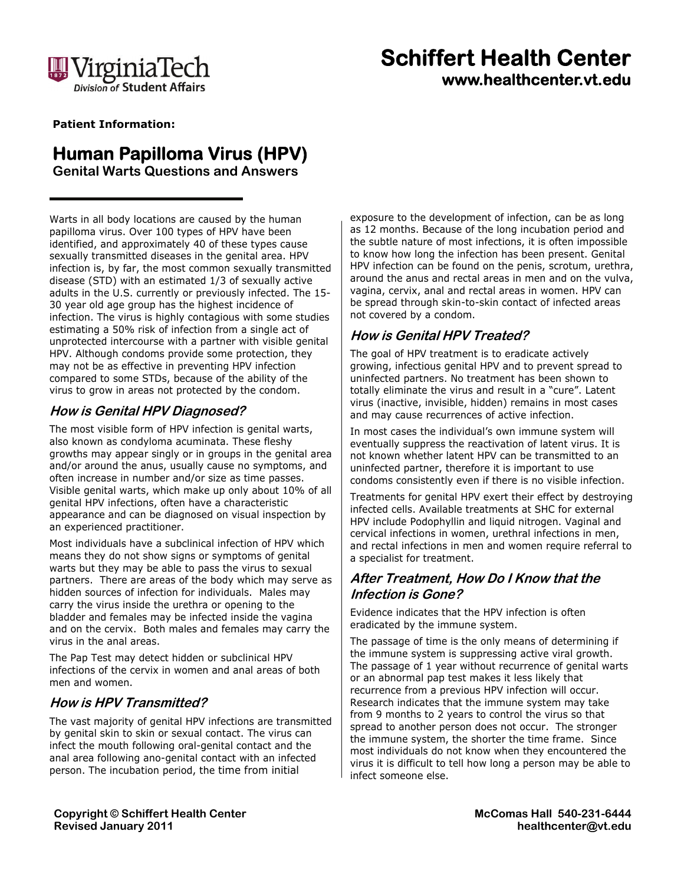

# **Schiffert Health Center www.healthcenter.vt.edu**

 **Patient Information:** 

### **Human Papilloma Virus (HPV)**

**Genital Warts Questions and Answers** 

Warts in all body locations are caused by the human papilloma virus. Over 100 types of HPV have been identified, and approximately 40 of these types cause sexually transmitted diseases in the genital area. HPV infection is, by far, the most common sexually transmitted disease (STD) with an estimated 1/3 of sexually active adults in the U.S. currently or previously infected. The 15- 30 year old age group has the highest incidence of infection. The virus is highly contagious with some studies estimating a 50% risk of infection from a single act of unprotected intercourse with a partner with visible genital HPV. Although condoms provide some protection, they may not be as effective in preventing HPV infection compared to some STDs, because of the ability of the virus to grow in areas not protected by the condom.

### **How is Genital HPV Diagnosed?**

The most visible form of HPV infection is genital warts, also known as condyloma acuminata. These fleshy growths may appear singly or in groups in the genital area and/or around the anus, usually cause no symptoms, and often increase in number and/or size as time passes. Visible genital warts, which make up only about 10% of all genital HPV infections, often have a characteristic appearance and can be diagnosed on visual inspection by an experienced practitioner.

Most individuals have a subclinical infection of HPV which means they do not show signs or symptoms of genital warts but they may be able to pass the virus to sexual partners. There are areas of the body which may serve as hidden sources of infection for individuals. Males may carry the virus inside the urethra or opening to the bladder and females may be infected inside the vagina and on the cervix. Both males and females may carry the virus in the anal areas.

The Pap Test may detect hidden or subclinical HPV infections of the cervix in women and anal areas of both men and women.

### **How is HPV Transmitted?**

The vast majority of genital HPV infections are transmitted by genital skin to skin or sexual contact. The virus can infect the mouth following oral-genital contact and the anal area following ano-genital contact with an infected person. The incubation period, the time from initial

exposure to the development of infection, can be as long as 12 months. Because of the long incubation period and the subtle nature of most infections, it is often impossible to know how long the infection has been present. Genital HPV infection can be found on the penis, scrotum, urethra, around the anus and rectal areas in men and on the vulva, vagina, cervix, anal and rectal areas in women. HPV can be spread through skin-to-skin contact of infected areas not covered by a condom.

### **How is Genital HPV Treated?**

The goal of HPV treatment is to eradicate actively growing, infectious genital HPV and to prevent spread to uninfected partners. No treatment has been shown to totally eliminate the virus and result in a "cure". Latent virus (inactive, invisible, hidden) remains in most cases and may cause recurrences of active infection.

In most cases the individual's own immune system will eventually suppress the reactivation of latent virus. It is not known whether latent HPV can be transmitted to an uninfected partner, therefore it is important to use condoms consistently even if there is no visible infection.

Treatments for genital HPV exert their effect by destroying infected cells. Available treatments at SHC for external HPV include Podophyllin and liquid nitrogen. Vaginal and cervical infections in women, urethral infections in men, and rectal infections in men and women require referral to a specialist for treatment.

### **After Treatment, How Do I Know that the Infection is Gone?**

Evidence indicates that the HPV infection is often eradicated by the immune system.

The passage of time is the only means of determining if the immune system is suppressing active viral growth. The passage of 1 year without recurrence of genital warts or an abnormal pap test makes it less likely that recurrence from a previous HPV infection will occur. Research indicates that the immune system may take from 9 months to 2 years to control the virus so that spread to another person does not occur. The stronger the immune system, the shorter the time frame. Since most individuals do not know when they encountered the virus it is difficult to tell how long a person may be able to infect someone else.

**Copyright © Schiffert Health Center Revised January 2011** 

**McComas Hall 540-231-6444 healthcenter@vt.edu**